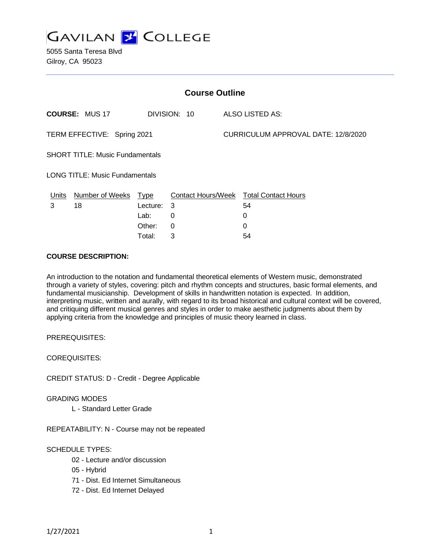

5055 Santa Teresa Blvd Gilroy, CA 95023

| <b>Course Outline</b>                  |                                       |             |   |                                     |                                        |
|----------------------------------------|---------------------------------------|-------------|---|-------------------------------------|----------------------------------------|
|                                        | <b>COURSE: MUS 17</b><br>DIVISION: 10 |             |   | ALSO LISTED AS:                     |                                        |
| TERM EFFECTIVE: Spring 2021            |                                       |             |   | CURRICULUM APPROVAL DATE: 12/8/2020 |                                        |
| <b>SHORT TITLE: Music Fundamentals</b> |                                       |             |   |                                     |                                        |
| <b>LONG TITLE: Music Fundamentals</b>  |                                       |             |   |                                     |                                        |
| Units                                  | <b>Number of Weeks</b>                | <u>Type</u> |   |                                     | Contact Hours/Week Total Contact Hours |
| 3                                      | 18                                    | Lecture:    | 3 |                                     | 54                                     |
|                                        |                                       | Lab:        | 0 |                                     | 0                                      |
|                                        |                                       | Other:      | 0 |                                     | 0                                      |
|                                        |                                       | Total:      | 3 |                                     | 54                                     |

### **COURSE DESCRIPTION:**

An introduction to the notation and fundamental theoretical elements of Western music, demonstrated through a variety of styles, covering: pitch and rhythm concepts and structures, basic formal elements, and fundamental musicianship. Development of skills in handwritten notation is expected. In addition, interpreting music, written and aurally, with regard to its broad historical and cultural context will be covered, and critiquing different musical genres and styles in order to make aesthetic judgments about them by applying criteria from the knowledge and principles of music theory learned in class.

PREREQUISITES:

COREQUISITES:

CREDIT STATUS: D - Credit - Degree Applicable

#### GRADING MODES

L - Standard Letter Grade

REPEATABILITY: N - Course may not be repeated

## SCHEDULE TYPES:

- 02 Lecture and/or discussion
- 05 Hybrid
- 71 Dist. Ed Internet Simultaneous
- 72 Dist. Ed Internet Delayed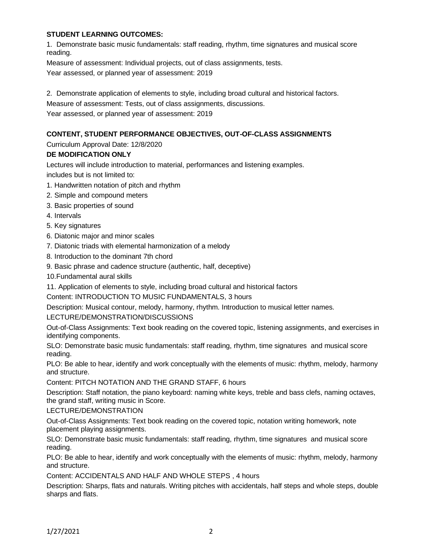# **STUDENT LEARNING OUTCOMES:**

1. Demonstrate basic music fundamentals: staff reading, rhythm, time signatures and musical score reading.

Measure of assessment: Individual projects, out of class assignments, tests.

Year assessed, or planned year of assessment: 2019

2. Demonstrate application of elements to style, including broad cultural and historical factors.

Measure of assessment: Tests, out of class assignments, discussions.

Year assessed, or planned year of assessment: 2019

# **CONTENT, STUDENT PERFORMANCE OBJECTIVES, OUT-OF-CLASS ASSIGNMENTS**

Curriculum Approval Date: 12/8/2020

## **DE MODIFICATION ONLY**

Lectures will include introduction to material, performances and listening examples.

includes but is not limited to:

- 1. Handwritten notation of pitch and rhythm
- 2. Simple and compound meters
- 3. Basic properties of sound
- 4. Intervals
- 5. Key signatures
- 6. Diatonic major and minor scales
- 7. Diatonic triads with elemental harmonization of a melody
- 8. Introduction to the dominant 7th chord
- 9. Basic phrase and cadence structure (authentic, half, deceptive)
- 10.Fundamental aural skills
- 11. Application of elements to style, including broad cultural and historical factors

Content: INTRODUCTION TO MUSIC FUNDAMENTALS, 3 hours

Description: Musical contour, melody, harmony, rhythm. Introduction to musical letter names.

#### LECTURE/DEMONSTRATION/DISCUSSIONS

Out-of-Class Assignments: Text book reading on the covered topic, listening assignments, and exercises in identifying components.

SLO: Demonstrate basic music fundamentals: staff reading, rhythm, time signatures and musical score reading.

PLO: Be able to hear, identify and work conceptually with the elements of music: rhythm, melody, harmony and structure.

Content: PITCH NOTATION AND THE GRAND STAFF, 6 hours

Description: Staff notation, the piano keyboard: naming white keys, treble and bass clefs, naming octaves, the grand staff, writing music in Score.

#### LECTURE/DEMONSTRATION

Out-of-Class Assignments: Text book reading on the covered topic, notation writing homework, note placement playing assignments.

SLO: Demonstrate basic music fundamentals: staff reading, rhythm, time signatures and musical score reading.

PLO: Be able to hear, identify and work conceptually with the elements of music: rhythm, melody, harmony and structure.

Content: ACCIDENTALS AND HALF AND WHOLE STEPS , 4 hours

Description: Sharps, flats and naturals. Writing pitches with accidentals, half steps and whole steps, double sharps and flats.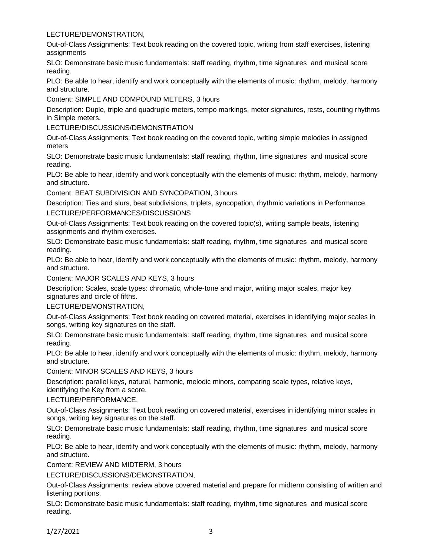## LECTURE/DEMONSTRATION,

Out-of-Class Assignments: Text book reading on the covered topic, writing from staff exercises, listening assignments

SLO: Demonstrate basic music fundamentals: staff reading, rhythm, time signatures and musical score reading.

PLO: Be able to hear, identify and work conceptually with the elements of music: rhythm, melody, harmony and structure.

Content: SIMPLE AND COMPOUND METERS, 3 hours

Description: Duple, triple and quadruple meters, tempo markings, meter signatures, rests, counting rhythms in Simple meters.

LECTURE/DISCUSSIONS/DEMONSTRATION

Out-of-Class Assignments: Text book reading on the covered topic, writing simple melodies in assigned meters

SLO: Demonstrate basic music fundamentals: staff reading, rhythm, time signatures and musical score reading.

PLO: Be able to hear, identify and work conceptually with the elements of music: rhythm, melody, harmony and structure.

Content: BEAT SUBDIVISION AND SYNCOPATION, 3 hours

Description: Ties and slurs, beat subdivisions, triplets, syncopation, rhythmic variations in Performance. LECTURE/PERFORMANCES/DISCUSSIONS

Out-of-Class Assignments: Text book reading on the covered topic(s), writing sample beats, listening assignments and rhythm exercises.

SLO: Demonstrate basic music fundamentals: staff reading, rhythm, time signatures and musical score reading.

PLO: Be able to hear, identify and work conceptually with the elements of music: rhythm, melody, harmony and structure.

Content: MAJOR SCALES AND KEYS, 3 hours

Description: Scales, scale types: chromatic, whole-tone and major, writing major scales, major key signatures and circle of fifths.

## LECTURE/DEMONSTRATION,

Out-of-Class Assignments: Text book reading on covered material, exercises in identifying major scales in songs, writing key signatures on the staff.

SLO: Demonstrate basic music fundamentals: staff reading, rhythm, time signatures and musical score reading.

PLO: Be able to hear, identify and work conceptually with the elements of music: rhythm, melody, harmony and structure.

Content: MINOR SCALES AND KEYS, 3 hours

Description: parallel keys, natural, harmonic, melodic minors, comparing scale types, relative keys, identifying the Key from a score.

#### LECTURE/PERFORMANCE,

Out-of-Class Assignments: Text book reading on covered material, exercises in identifying minor scales in songs, writing key signatures on the staff.

SLO: Demonstrate basic music fundamentals: staff reading, rhythm, time signatures and musical score reading.

PLO: Be able to hear, identify and work conceptually with the elements of music: rhythm, melody, harmony and structure.

Content: REVIEW AND MIDTERM, 3 hours

LECTURE/DISCUSSIONS/DEMONSTRATION,

Out-of-Class Assignments: review above covered material and prepare for midterm consisting of written and listening portions.

SLO: Demonstrate basic music fundamentals: staff reading, rhythm, time signatures and musical score reading.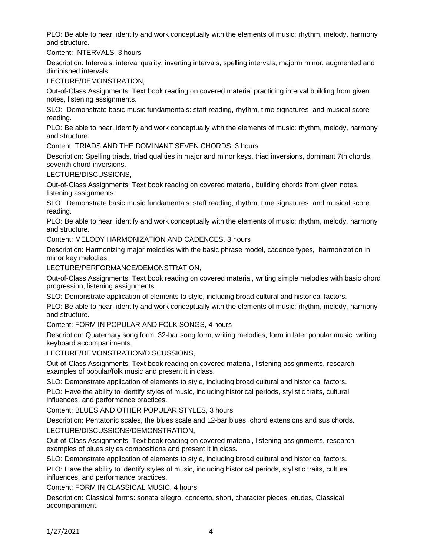PLO: Be able to hear, identify and work conceptually with the elements of music: rhythm, melody, harmony and structure.

Content: INTERVALS, 3 hours

Description: Intervals, interval quality, inverting intervals, spelling intervals, majorm minor, augmented and diminished intervals.

LECTURE/DEMONSTRATION,

Out-of-Class Assignments: Text book reading on covered material practicing interval building from given notes, listening assignments.

SLO: Demonstrate basic music fundamentals: staff reading, rhythm, time signatures and musical score reading.

PLO: Be able to hear, identify and work conceptually with the elements of music: rhythm, melody, harmony and structure.

Content: TRIADS AND THE DOMINANT SEVEN CHORDS, 3 hours

Description: Spelling triads, triad qualities in major and minor keys, triad inversions, dominant 7th chords, seventh chord inversions.

LECTURE/DISCUSSIONS,

Out-of-Class Assignments: Text book reading on covered material, building chords from given notes, listening assignments.

SLO: Demonstrate basic music fundamentals: staff reading, rhythm, time signatures and musical score reading.

PLO: Be able to hear, identify and work conceptually with the elements of music: rhythm, melody, harmony and structure.

Content: MELODY HARMONIZATION AND CADENCES, 3 hours

Description: Harmonizing major melodies with the basic phrase model, cadence types, harmonization in minor key melodies.

LECTURE/PERFORMANCE/DEMONSTRATION,

Out-of-Class Assignments: Text book reading on covered material, writing simple melodies with basic chord progression, listening assignments.

SLO: Demonstrate application of elements to style, including broad cultural and historical factors.

PLO: Be able to hear, identify and work conceptually with the elements of music: rhythm, melody, harmony and structure.

Content: FORM IN POPULAR AND FOLK SONGS, 4 hours

Description: Quaternary song form, 32-bar song form, writing melodies, form in later popular music, writing keyboard accompaniments.

LECTURE/DEMONSTRATION/DISCUSSIONS,

Out-of-Class Assignments: Text book reading on covered material, listening assignments, research examples of popular/folk music and present it in class.

SLO: Demonstrate application of elements to style, including broad cultural and historical factors.

PLO: Have the ability to identify styles of music, including historical periods, stylistic traits, cultural influences, and performance practices.

Content: BLUES AND OTHER POPULAR STYLES, 3 hours

Description: Pentatonic scales, the blues scale and 12-bar blues, chord extensions and sus chords. LECTURE/DISCUSSIONS/DEMONSTRATION,

Out-of-Class Assignments: Text book reading on covered material, listening assignments, research examples of blues styles compositions and present it in class.

SLO: Demonstrate application of elements to style, including broad cultural and historical factors.

PLO: Have the ability to identify styles of music, including historical periods, stylistic traits, cultural influences, and performance practices.

Content: FORM IN CLASSICAL MUSIC, 4 hours

Description: Classical forms: sonata allegro, concerto, short, character pieces, etudes, Classical accompaniment.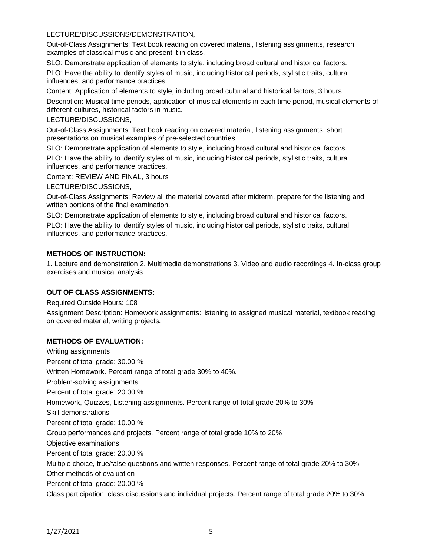# LECTURE/DISCUSSIONS/DEMONSTRATION,

Out-of-Class Assignments: Text book reading on covered material, listening assignments, research examples of classical music and present it in class.

SLO: Demonstrate application of elements to style, including broad cultural and historical factors.

PLO: Have the ability to identify styles of music, including historical periods, stylistic traits, cultural influences, and performance practices.

Content: Application of elements to style, including broad cultural and historical factors, 3 hours

Description: Musical time periods, application of musical elements in each time period, musical elements of different cultures, historical factors in music.

## LECTURE/DISCUSSIONS,

Out-of-Class Assignments: Text book reading on covered material, listening assignments, short presentations on musical examples of pre-selected countries.

SLO: Demonstrate application of elements to style, including broad cultural and historical factors.

PLO: Have the ability to identify styles of music, including historical periods, stylistic traits, cultural influences, and performance practices.

Content: REVIEW AND FINAL, 3 hours

LECTURE/DISCUSSIONS,

Out-of-Class Assignments: Review all the material covered after midterm, prepare for the listening and written portions of the final examination.

SLO: Demonstrate application of elements to style, including broad cultural and historical factors.

PLO: Have the ability to identify styles of music, including historical periods, stylistic traits, cultural influences, and performance practices.

## **METHODS OF INSTRUCTION:**

1. Lecture and demonstration 2. Multimedia demonstrations 3. Video and audio recordings 4. In-class group exercises and musical analysis

## **OUT OF CLASS ASSIGNMENTS:**

Required Outside Hours: 108

Assignment Description: Homework assignments: listening to assigned musical material, textbook reading on covered material, writing projects.

## **METHODS OF EVALUATION:**

Writing assignments Percent of total grade: 30.00 % Written Homework. Percent range of total grade 30% to 40%. Problem-solving assignments Percent of total grade: 20.00 % Homework, Quizzes, Listening assignments. Percent range of total grade 20% to 30% Skill demonstrations Percent of total grade: 10.00 % Group performances and projects. Percent range of total grade 10% to 20% Objective examinations Percent of total grade: 20.00 % Multiple choice, true/false questions and written responses. Percent range of total grade 20% to 30% Other methods of evaluation Percent of total grade: 20.00 % Class participation, class discussions and individual projects. Percent range of total grade 20% to 30%